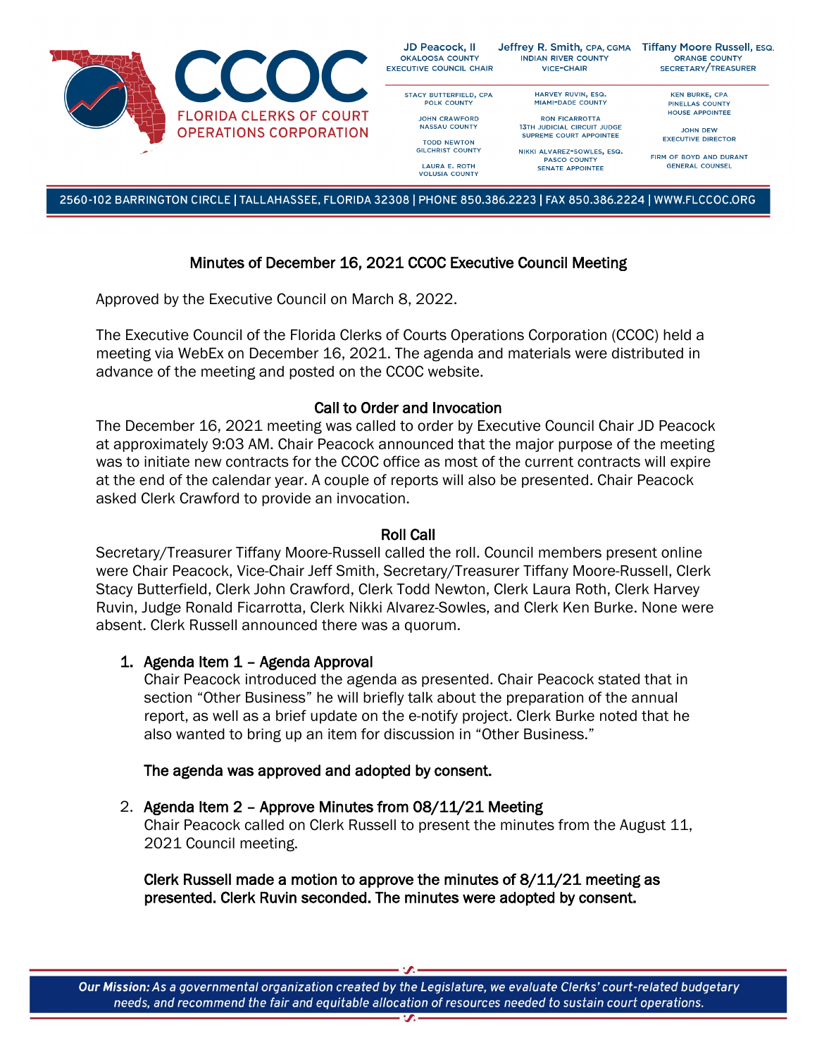

2560-102 BARRINGTON CIRCLE | TALLAHASSEE, FLORIDA 32308 | PHONE 850.386.2223 | FAX 850.386.2224 | WWW.FLCCOC.ORG

# Minutes of December 16, 2021 CCOC Executive Council Meeting

Approved by the Executive Council on March 8, 2022.

The Executive Council of the Florida Clerks of Courts Operations Corporation (CCOC) held a meeting via WebEx on December 16, 2021. The agenda and materials were distributed in advance of the meeting and posted on the CCOC website.

## Call to Order and Invocation

The December 16, 2021 meeting was called to order by Executive Council Chair JD Peacock at approximately 9:03 AM. Chair Peacock announced that the major purpose of the meeting was to initiate new contracts for the CCOC office as most of the current contracts will expire at the end of the calendar year. A couple of reports will also be presented. Chair Peacock asked Clerk Crawford to provide an invocation.

### Roll Call

Secretary/Treasurer Tiffany Moore-Russell called the roll. Council members present online were Chair Peacock, Vice-Chair Jeff Smith, Secretary/Treasurer Tiffany Moore-Russell, Clerk Stacy Butterfield, Clerk John Crawford, Clerk Todd Newton, Clerk Laura Roth, Clerk Harvey Ruvin, Judge Ronald Ficarrotta, Clerk Nikki Alvarez-Sowles, and Clerk Ken Burke. None were absent. Clerk Russell announced there was a quorum.

### 1. Agenda Item 1 – Agenda Approval

Chair Peacock introduced the agenda as presented. Chair Peacock stated that in section "Other Business" he will briefly talk about the preparation of the annual report, as well as a brief update on the e-notify project. Clerk Burke noted that he also wanted to bring up an item for discussion in "Other Business."

### The agenda was approved and adopted by consent.

## 2. Agenda Item 2 – Approve Minutes from 08/11/21 Meeting

Chair Peacock called on Clerk Russell to present the minutes from the August 11, 2021 Council meeting.

Clerk Russell made a motion to approve the minutes of 8/11/21 meeting as presented. Clerk Ruvin seconded. The minutes were adopted by consent.

Our Mission: As a governmental organization created by the Legislature, we evaluate Clerks' court-related budgetary needs, and recommend the fair and equitable allocation of resources needed to sustain court operations.  $\overline{\mathbf{r}}$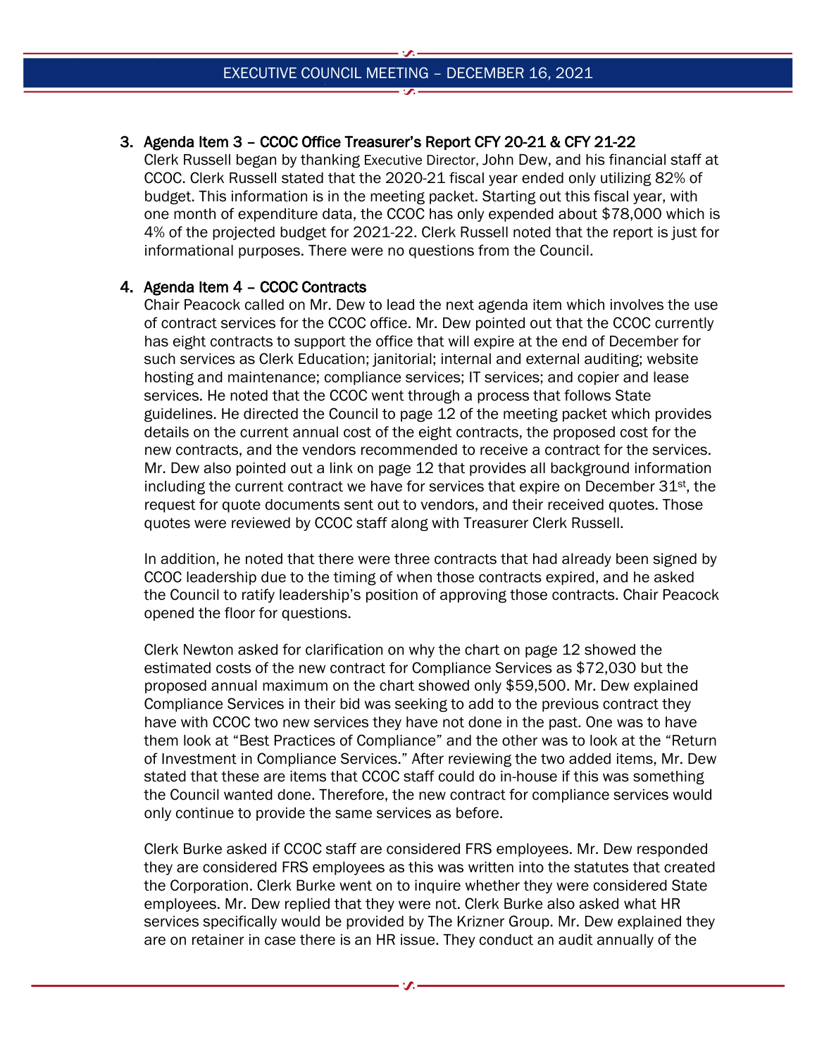# 3. Agenda Item 3 – CCOC Office Treasurer's Report CFY 20-21 & CFY 21-22

Clerk Russell began by thanking Executive Director, John Dew, and his financial staff at CCOC. Clerk Russell stated that the 2020-21 fiscal year ended only utilizing 82% of budget. This information is in the meeting packet. Starting out this fiscal year, with one month of expenditure data, the CCOC has only expended about \$78,000 which is 4% of the projected budget for 2021-22. Clerk Russell noted that the report is just for informational purposes. There were no questions from the Council.

## 4. Agenda Item 4 – CCOC Contracts

Chair Peacock called on Mr. Dew to lead the next agenda item which involves the use of contract services for the CCOC office. Mr. Dew pointed out that the CCOC currently has eight contracts to support the office that will expire at the end of December for such services as Clerk Education; janitorial; internal and external auditing; website hosting and maintenance; compliance services; IT services; and copier and lease services. He noted that the CCOC went through a process that follows State guidelines. He directed the Council to page 12 of the meeting packet which provides details on the current annual cost of the eight contracts, the proposed cost for the new contracts, and the vendors recommended to receive a contract for the services. Mr. Dew also pointed out a link on page 12 that provides all background information including the current contract we have for services that expire on December  $31<sup>st</sup>$ , the request for quote documents sent out to vendors, and their received quotes. Those quotes were reviewed by CCOC staff along with Treasurer Clerk Russell.

In addition, he noted that there were three contracts that had already been signed by CCOC leadership due to the timing of when those contracts expired, and he asked the Council to ratify leadership's position of approving those contracts. Chair Peacock opened the floor for questions.

Clerk Newton asked for clarification on why the chart on page 12 showed the estimated costs of the new contract for Compliance Services as \$72,030 but the proposed annual maximum on the chart showed only \$59,500. Mr. Dew explained Compliance Services in their bid was seeking to add to the previous contract they have with CCOC two new services they have not done in the past. One was to have them look at "Best Practices of Compliance" and the other was to look at the "Return of Investment in Compliance Services." After reviewing the two added items, Mr. Dew stated that these are items that CCOC staff could do in-house if this was something the Council wanted done. Therefore, the new contract for compliance services would only continue to provide the same services as before.

Clerk Burke asked if CCOC staff are considered FRS employees. Mr. Dew responded they are considered FRS employees as this was written into the statutes that created the Corporation. Clerk Burke went on to inquire whether they were considered State employees. Mr. Dew replied that they were not. Clerk Burke also asked what HR services specifically would be provided by The Krizner Group. Mr. Dew explained they are on retainer in case there is an HR issue. They conduct an audit annually of the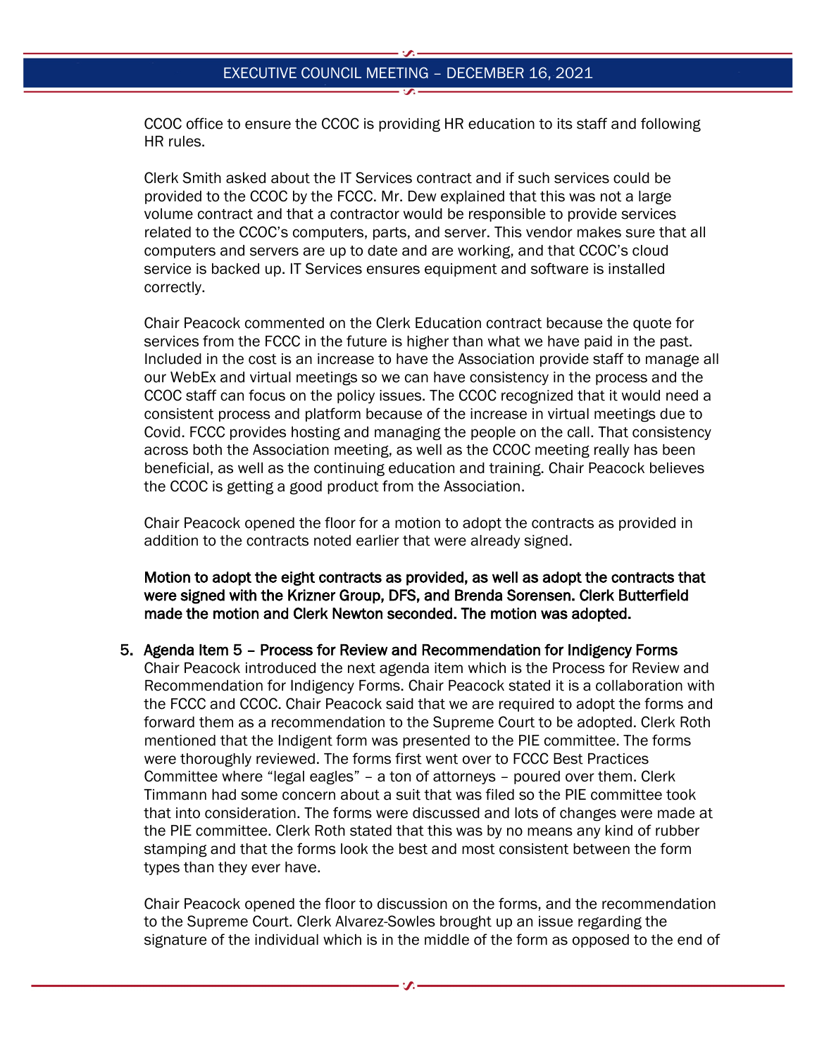CCOC office to ensure the CCOC is providing HR education to its staff and following HR rules.

Clerk Smith asked about the IT Services contract and if such services could be provided to the CCOC by the FCCC. Mr. Dew explained that this was not a large volume contract and that a contractor would be responsible to provide services related to the CCOC's computers, parts, and server. This vendor makes sure that all computers and servers are up to date and are working, and that CCOC's cloud service is backed up. IT Services ensures equipment and software is installed correctly.

Chair Peacock commented on the Clerk Education contract because the quote for services from the FCCC in the future is higher than what we have paid in the past. Included in the cost is an increase to have the Association provide staff to manage all our WebEx and virtual meetings so we can have consistency in the process and the CCOC staff can focus on the policy issues. The CCOC recognized that it would need a consistent process and platform because of the increase in virtual meetings due to Covid. FCCC provides hosting and managing the people on the call. That consistency across both the Association meeting, as well as the CCOC meeting really has been beneficial, as well as the continuing education and training. Chair Peacock believes the CCOC is getting a good product from the Association.

Chair Peacock opened the floor for a motion to adopt the contracts as provided in addition to the contracts noted earlier that were already signed.

Motion to adopt the eight contracts as provided, as well as adopt the contracts that were signed with the Krizner Group, DFS, and Brenda Sorensen. Clerk Butterfield made the motion and Clerk Newton seconded. The motion was adopted.

#### 5. Agenda Item 5 – Process for Review and Recommendation for Indigency Forms

Chair Peacock introduced the next agenda item which is the Process for Review and Recommendation for Indigency Forms. Chair Peacock stated it is a collaboration with the FCCC and CCOC. Chair Peacock said that we are required to adopt the forms and forward them as a recommendation to the Supreme Court to be adopted. Clerk Roth mentioned that the Indigent form was presented to the PIE committee. The forms were thoroughly reviewed. The forms first went over to FCCC Best Practices Committee where "legal eagles" – a ton of attorneys – poured over them. Clerk Timmann had some concern about a suit that was filed so the PIE committee took that into consideration. The forms were discussed and lots of changes were made at the PIE committee. Clerk Roth stated that this was by no means any kind of rubber stamping and that the forms look the best and most consistent between the form types than they ever have.

Chair Peacock opened the floor to discussion on the forms, and the recommendation to the Supreme Court. Clerk Alvarez-Sowles brought up an issue regarding the signature of the individual which is in the middle of the form as opposed to the end of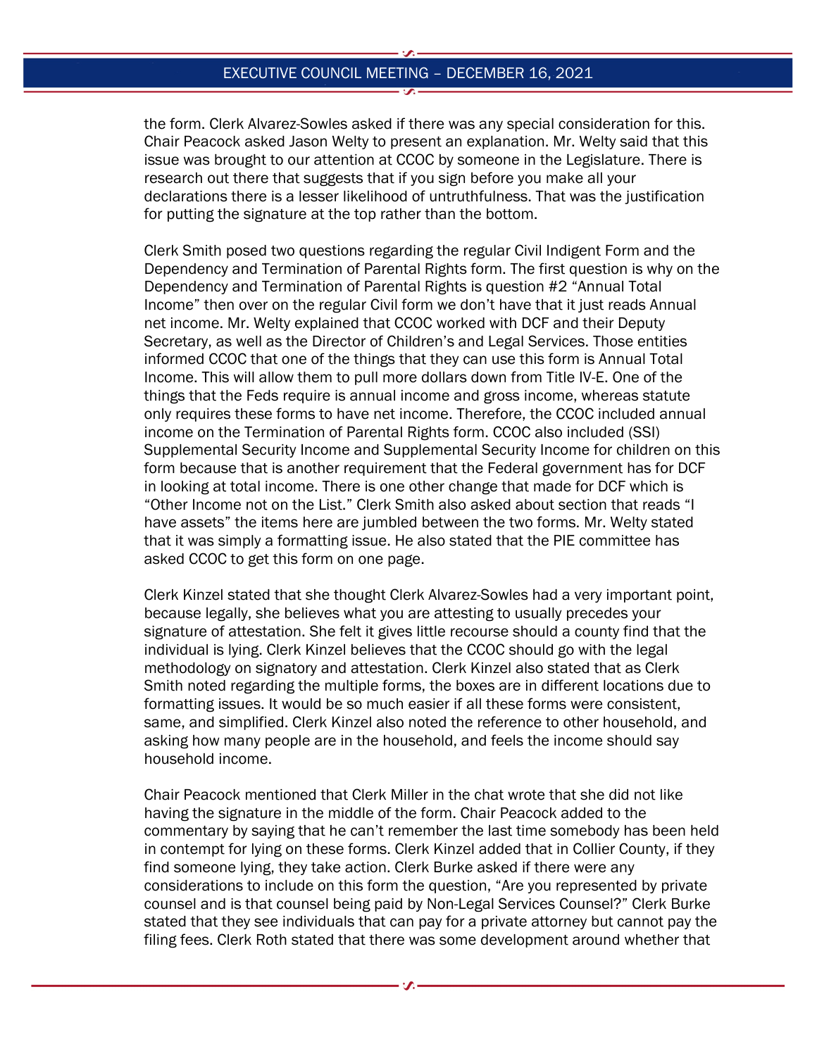the form. Clerk Alvarez-Sowles asked if there was any special consideration for this. Chair Peacock asked Jason Welty to present an explanation. Mr. Welty said that this issue was brought to our attention at CCOC by someone in the Legislature. There is research out there that suggests that if you sign before you make all your declarations there is a lesser likelihood of untruthfulness. That was the justification for putting the signature at the top rather than the bottom.

Clerk Smith posed two questions regarding the regular Civil Indigent Form and the Dependency and Termination of Parental Rights form. The first question is why on the Dependency and Termination of Parental Rights is question #2 "Annual Total Income" then over on the regular Civil form we don't have that it just reads Annual net income. Mr. Welty explained that CCOC worked with DCF and their Deputy Secretary, as well as the Director of Children's and Legal Services. Those entities informed CCOC that one of the things that they can use this form is Annual Total Income. This will allow them to pull more dollars down from Title IV-E. One of the things that the Feds require is annual income and gross income, whereas statute only requires these forms to have net income. Therefore, the CCOC included annual income on the Termination of Parental Rights form. CCOC also included (SSI) Supplemental Security Income and Supplemental Security Income for children on this form because that is another requirement that the Federal government has for DCF in looking at total income. There is one other change that made for DCF which is "Other Income not on the List." Clerk Smith also asked about section that reads "I have assets" the items here are jumbled between the two forms. Mr. Welty stated that it was simply a formatting issue. He also stated that the PIE committee has asked CCOC to get this form on one page.

Clerk Kinzel stated that she thought Clerk Alvarez-Sowles had a very important point, because legally, she believes what you are attesting to usually precedes your signature of attestation. She felt it gives little recourse should a county find that the individual is lying. Clerk Kinzel believes that the CCOC should go with the legal methodology on signatory and attestation. Clerk Kinzel also stated that as Clerk Smith noted regarding the multiple forms, the boxes are in different locations due to formatting issues. It would be so much easier if all these forms were consistent, same, and simplified. Clerk Kinzel also noted the reference to other household, and asking how many people are in the household, and feels the income should say household income.

Chair Peacock mentioned that Clerk Miller in the chat wrote that she did not like having the signature in the middle of the form. Chair Peacock added to the commentary by saying that he can't remember the last time somebody has been held in contempt for lying on these forms. Clerk Kinzel added that in Collier County, if they find someone lying, they take action. Clerk Burke asked if there were any considerations to include on this form the question, "Are you represented by private counsel and is that counsel being paid by Non-Legal Services Counsel?" Clerk Burke stated that they see individuals that can pay for a private attorney but cannot pay the filing fees. Clerk Roth stated that there was some development around whether that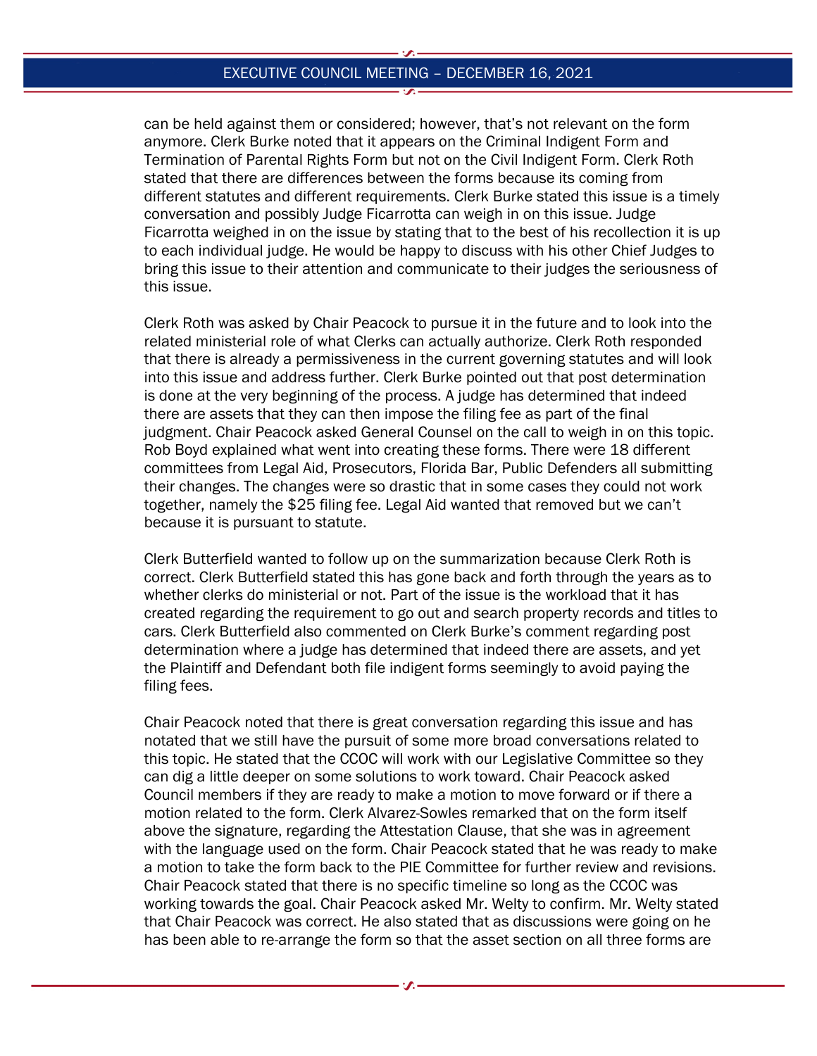can be held against them or considered; however, that's not relevant on the form anymore. Clerk Burke noted that it appears on the Criminal Indigent Form and Termination of Parental Rights Form but not on the Civil Indigent Form. Clerk Roth stated that there are differences between the forms because its coming from different statutes and different requirements. Clerk Burke stated this issue is a timely conversation and possibly Judge Ficarrotta can weigh in on this issue. Judge Ficarrotta weighed in on the issue by stating that to the best of his recollection it is up to each individual judge. He would be happy to discuss with his other Chief Judges to bring this issue to their attention and communicate to their judges the seriousness of this issue.

Clerk Roth was asked by Chair Peacock to pursue it in the future and to look into the related ministerial role of what Clerks can actually authorize. Clerk Roth responded that there is already a permissiveness in the current governing statutes and will look into this issue and address further. Clerk Burke pointed out that post determination is done at the very beginning of the process. A judge has determined that indeed there are assets that they can then impose the filing fee as part of the final judgment. Chair Peacock asked General Counsel on the call to weigh in on this topic. Rob Boyd explained what went into creating these forms. There were 18 different committees from Legal Aid, Prosecutors, Florida Bar, Public Defenders all submitting their changes. The changes were so drastic that in some cases they could not work together, namely the \$25 filing fee. Legal Aid wanted that removed but we can't because it is pursuant to statute.

Clerk Butterfield wanted to follow up on the summarization because Clerk Roth is correct. Clerk Butterfield stated this has gone back and forth through the years as to whether clerks do ministerial or not. Part of the issue is the workload that it has created regarding the requirement to go out and search property records and titles to cars. Clerk Butterfield also commented on Clerk Burke's comment regarding post determination where a judge has determined that indeed there are assets, and yet the Plaintiff and Defendant both file indigent forms seemingly to avoid paying the filing fees.

Chair Peacock noted that there is great conversation regarding this issue and has notated that we still have the pursuit of some more broad conversations related to this topic. He stated that the CCOC will work with our Legislative Committee so they can dig a little deeper on some solutions to work toward. Chair Peacock asked Council members if they are ready to make a motion to move forward or if there a motion related to the form. Clerk Alvarez-Sowles remarked that on the form itself above the signature, regarding the Attestation Clause, that she was in agreement with the language used on the form. Chair Peacock stated that he was ready to make a motion to take the form back to the PIE Committee for further review and revisions. Chair Peacock stated that there is no specific timeline so long as the CCOC was working towards the goal. Chair Peacock asked Mr. Welty to confirm. Mr. Welty stated that Chair Peacock was correct. He also stated that as discussions were going on he has been able to re-arrange the form so that the asset section on all three forms are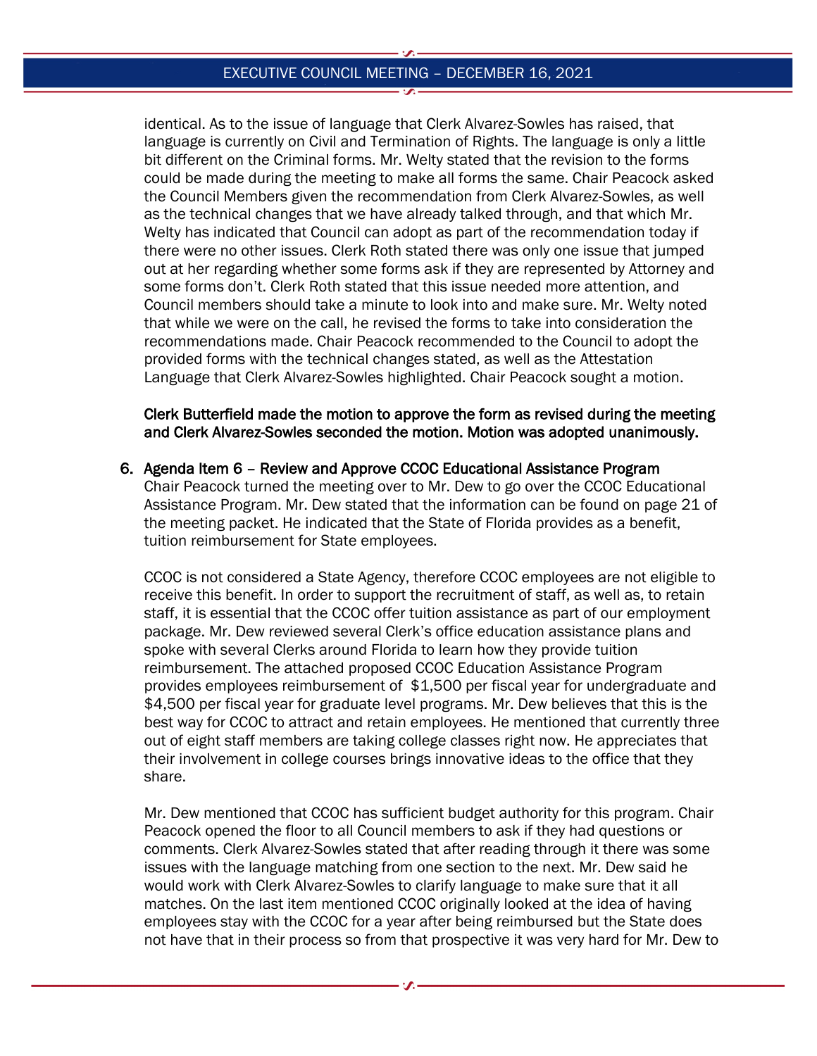identical. As to the issue of language that Clerk Alvarez-Sowles has raised, that language is currently on Civil and Termination of Rights. The language is only a little bit different on the Criminal forms. Mr. Welty stated that the revision to the forms could be made during the meeting to make all forms the same. Chair Peacock asked the Council Members given the recommendation from Clerk Alvarez-Sowles, as well as the technical changes that we have already talked through, and that which Mr. Welty has indicated that Council can adopt as part of the recommendation today if there were no other issues. Clerk Roth stated there was only one issue that jumped out at her regarding whether some forms ask if they are represented by Attorney and some forms don't. Clerk Roth stated that this issue needed more attention, and Council members should take a minute to look into and make sure. Mr. Welty noted that while we were on the call, he revised the forms to take into consideration the recommendations made. Chair Peacock recommended to the Council to adopt the provided forms with the technical changes stated, as well as the Attestation Language that Clerk Alvarez-Sowles highlighted. Chair Peacock sought a motion.

Clerk Butterfield made the motion to approve the form as revised during the meeting and Clerk Alvarez-Sowles seconded the motion. Motion was adopted unanimously.

#### 6. Agenda Item 6 – Review and Approve CCOC Educational Assistance Program

Chair Peacock turned the meeting over to Mr. Dew to go over the CCOC Educational Assistance Program. Mr. Dew stated that the information can be found on page 21 of the meeting packet. He indicated that the State of Florida provides as a benefit, tuition reimbursement for State employees.

CCOC is not considered a State Agency, therefore CCOC employees are not eligible to receive this benefit. In order to support the recruitment of staff, as well as, to retain staff, it is essential that the CCOC offer tuition assistance as part of our employment package. Mr. Dew reviewed several Clerk's office education assistance plans and spoke with several Clerks around Florida to learn how they provide tuition reimbursement. The attached proposed CCOC Education Assistance Program provides employees reimbursement of \$1,500 per fiscal year for undergraduate and \$4,500 per fiscal year for graduate level programs. Mr. Dew believes that this is the best way for CCOC to attract and retain employees. He mentioned that currently three out of eight staff members are taking college classes right now. He appreciates that their involvement in college courses brings innovative ideas to the office that they share.

Mr. Dew mentioned that CCOC has sufficient budget authority for this program. Chair Peacock opened the floor to all Council members to ask if they had questions or comments. Clerk Alvarez-Sowles stated that after reading through it there was some issues with the language matching from one section to the next. Mr. Dew said he would work with Clerk Alvarez-Sowles to clarify language to make sure that it all matches. On the last item mentioned CCOC originally looked at the idea of having employees stay with the CCOC for a year after being reimbursed but the State does not have that in their process so from that prospective it was very hard for Mr. Dew to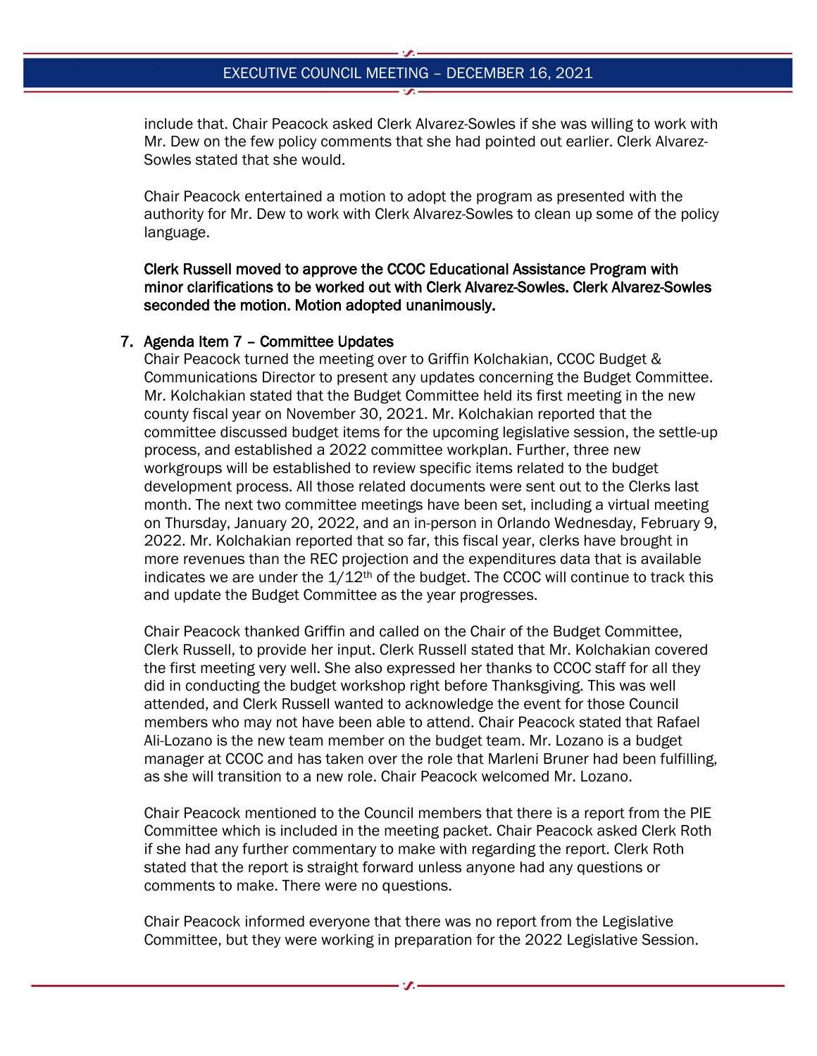include that. Chair Peacock asked Clerk Alvarez-Sowles if she was willing to work with Mr. Dew on the few policy comments that she had pointed out earlier. Clerk Alvarez-Sowles stated that she would.

Chair Peacock entertained a motion to adopt the program as presented with the authority for Mr. Dew to work with Clerk Alvarez-Sowles to clean up some of the policy language.

Clerk Russell moved to approve the CCOC Educational Assistance Program with minor clarifications to be worked out with Clerk Alvarez-Sowles. Clerk Alvarez-Sowles seconded the motion. Motion adopted unanimously.

#### 7. Agenda Item 7 – Committee Updates

Chair Peacock turned the meeting over to Griffin Kolchakian, CCOC Budget & Communications Director to present any updates concerning the Budget Committee. Mr. Kolchakian stated that the Budget Committee held its first meeting in the new county fiscal year on November 30, 2021. Mr. Kolchakian reported that the committee discussed budget items for the upcoming legislative session, the settle-up process, and established a 2022 committee workplan. Further, three new workgroups will be established to review specific items related to the budget development process. All those related documents were sent out to the Clerks last month. The next two committee meetings have been set, including a virtual meeting on Thursday, January 20, 2022, and an in-person in Orlando Wednesday, February 9, 2022. Mr. Kolchakian reported that so far, this fiscal year, clerks have brought in more revenues than the REC projection and the expenditures data that is available indicates we are under the  $1/12<sup>th</sup>$  of the budget. The CCOC will continue to track this and update the Budget Committee as the year progresses.

Chair Peacock thanked Griffin and called on the Chair of the Budget Committee, Clerk Russell, to provide her input. Clerk Russell stated that Mr. Kolchakian covered the first meeting very well. She also expressed her thanks to CCOC staff for all they did in conducting the budget workshop right before Thanksgiving. This was well attended, and Clerk Russell wanted to acknowledge the event for those Council members who may not have been able to attend. Chair Peacock stated that Rafael Ali-Lozano is the new team member on the budget team. Mr. Lozano is a budget manager at CCOC and has taken over the role that Marleni Bruner had been fulfilling, as she will transition to a new role. Chair Peacock welcomed Mr. Lozano.

Chair Peacock mentioned to the Council members that there is a report from the PIE Committee which is included in the meeting packet. Chair Peacock asked Clerk Roth if she had any further commentary to make with regarding the report. Clerk Roth stated that the report is straight forward unless anyone had any questions or comments to make. There were no questions.

Chair Peacock informed everyone that there was no report from the Legislative Committee, but they were working in preparation for the 2022 Legislative Session.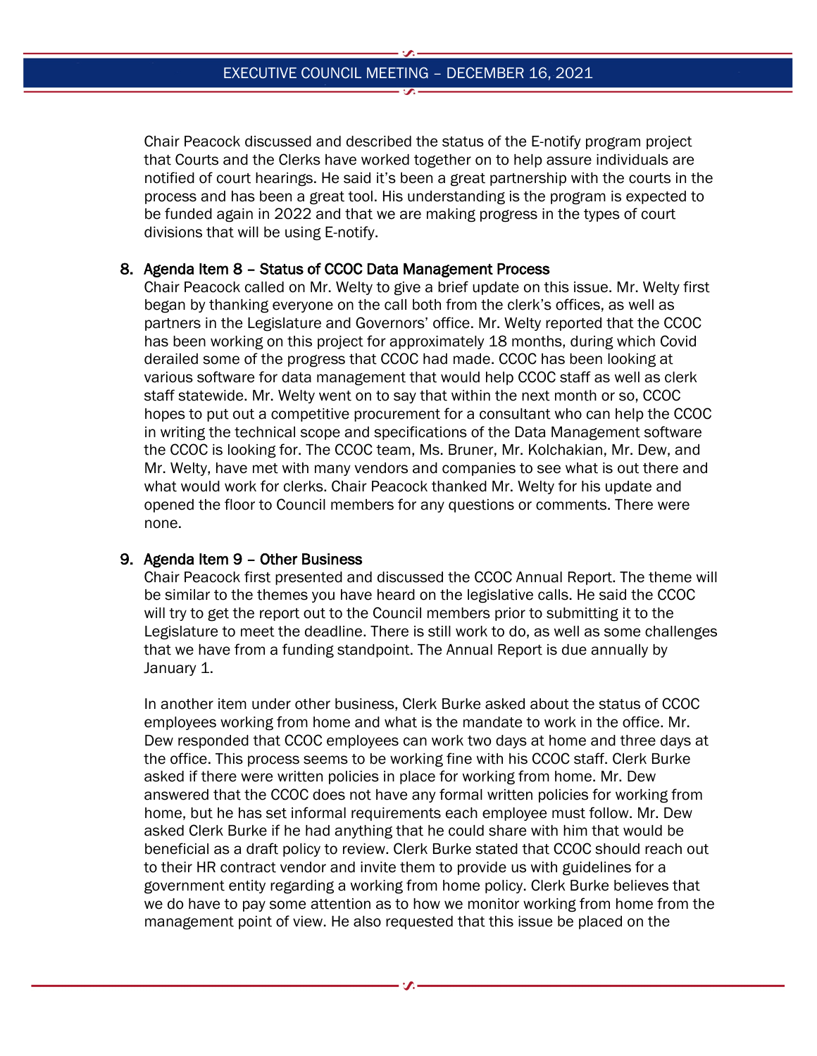Chair Peacock discussed and described the status of the E-notify program project that Courts and the Clerks have worked together on to help assure individuals are notified of court hearings. He said it's been a great partnership with the courts in the process and has been a great tool. His understanding is the program is expected to be funded again in 2022 and that we are making progress in the types of court divisions that will be using E-notify.

## 8. Agenda Item 8 – Status of CCOC Data Management Process

Chair Peacock called on Mr. Welty to give a brief update on this issue. Mr. Welty first began by thanking everyone on the call both from the clerk's offices, as well as partners in the Legislature and Governors' office. Mr. Welty reported that the CCOC has been working on this project for approximately 18 months, during which Covid derailed some of the progress that CCOC had made. CCOC has been looking at various software for data management that would help CCOC staff as well as clerk staff statewide. Mr. Welty went on to say that within the next month or so, CCOC hopes to put out a competitive procurement for a consultant who can help the CCOC in writing the technical scope and specifications of the Data Management software the CCOC is looking for. The CCOC team, Ms. Bruner, Mr. Kolchakian, Mr. Dew, and Mr. Welty, have met with many vendors and companies to see what is out there and what would work for clerks. Chair Peacock thanked Mr. Welty for his update and opened the floor to Council members for any questions or comments. There were none.

## 9. Agenda Item 9 – Other Business

Chair Peacock first presented and discussed the CCOC Annual Report. The theme will be similar to the themes you have heard on the legislative calls. He said the CCOC will try to get the report out to the Council members prior to submitting it to the Legislature to meet the deadline. There is still work to do, as well as some challenges that we have from a funding standpoint. The Annual Report is due annually by January 1.

In another item under other business, Clerk Burke asked about the status of CCOC employees working from home and what is the mandate to work in the office. Mr. Dew responded that CCOC employees can work two days at home and three days at the office. This process seems to be working fine with his CCOC staff. Clerk Burke asked if there were written policies in place for working from home. Mr. Dew answered that the CCOC does not have any formal written policies for working from home, but he has set informal requirements each employee must follow. Mr. Dew asked Clerk Burke if he had anything that he could share with him that would be beneficial as a draft policy to review. Clerk Burke stated that CCOC should reach out to their HR contract vendor and invite them to provide us with guidelines for a government entity regarding a working from home policy. Clerk Burke believes that we do have to pay some attention as to how we monitor working from home from the management point of view. He also requested that this issue be placed on the